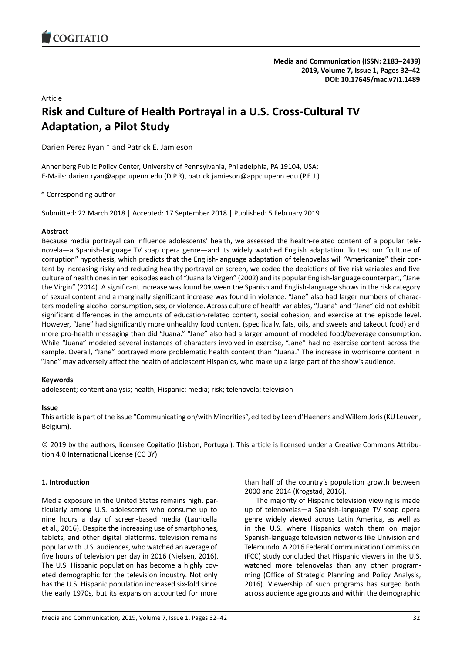# Article

# **Risk and Culture of Health Portrayal in a U.S. Cross-Cultural TV Adaptation, a Pilot Study**

Darien Perez Ryan \* and Patrick E. Jamieson

Annenberg Public Policy Center, University of Pennsylvania, Philadelphia, PA 19104, USA; E-Mails: darien.ryan@appc.upenn.edu (D.P.R), patrick.jamieson@appc.upenn.edu (P.E.J.)

\* Corresponding author

Submitted: 22 March 2018 | Accepted: 17 September 2018 | Published: 5 February 2019

# **Abstract**

Because media portrayal can influence adolescents' health, we assessed the health-related content of a popular telenovela—a Spanish-language TV soap opera genre—and its widely watched English adaptation. To test our "culture of corruption" hypothesis, which predicts that the English-language adaptation of telenovelas will "Americanize" their content by increasing risky and reducing healthy portrayal on screen, we coded the depictions of five risk variables and five culture of health ones in ten episodes each of "Juana la Virgen" (2002) and its popular English-language counterpart, "Jane the Virgin" (2014). A significant increase was found between the Spanish and English-language shows in the risk category of sexual content and a marginally significant increase was found in violence. "Jane" also had larger numbers of characters modeling alcohol consumption, sex, or violence. Across culture of health variables, "Juana" and "Jane" did not exhibit significant differences in the amounts of education-related content, social cohesion, and exercise at the episode level. However, "Jane" had significantly more unhealthy food content (specifically, fats, oils, and sweets and takeout food) and more pro-health messaging than did "Juana." "Jane" also had a larger amount of modeled food/beverage consumption. While "Juana" modeled several instances of characters involved in exercise, "Jane" had no exercise content across the sample. Overall, "Jane" portrayed more problematic health content than "Juana." The increase in worrisome content in "Jane" may adversely affect the health of adolescent Hispanics, who make up a large part of the show's audience.

# **Keywords**

adolescent; content analysis; health; Hispanic; media; risk; telenovela; television

# **Issue**

This article is part of the issue "Communicating on/with Minorities", edited by Leen d'Haenens and Willem Joris (KU Leuven, Belgium).

© 2019 by the authors; licensee Cogitatio (Lisbon, Portugal). This article is licensed under a Creative Commons Attribution 4.0 International License (CC BY).

# **1. Introduction**

Media exposure in the United States remains high, particularly among U.S. adolescents who consume up to nine hours a day of screen-based media (Lauricella et al., 2016). Despite the increasing use of smartphones, tablets, and other digital platforms, television remains popular with U.S. audiences, who watched an average of five hours of television per day in 2016 (Nielsen, 2016). The U.S. Hispanic population has become a highly coveted demographic for the television industry. Not only has the U.S. Hispanic population increased six-fold since the early 1970s, but its expansion accounted for more

than half of the country's population growth between 2000 and 2014 (Krogstad, 2016).

The majority of Hispanic television viewing is made up of telenovelas—a Spanish-language TV soap opera genre widely viewed across Latin America, as well as in the U.S. where Hispanics watch them on major Spanish-language television networks like Univision and Telemundo. A 2016 Federal Communication Commission (FCC) study concluded that Hispanic viewers in the U.S. watched more telenovelas than any other programming (Office of Strategic Planning and Policy Analysis, 2016). Viewership of such programs has surged both across audience age groups and within the demographic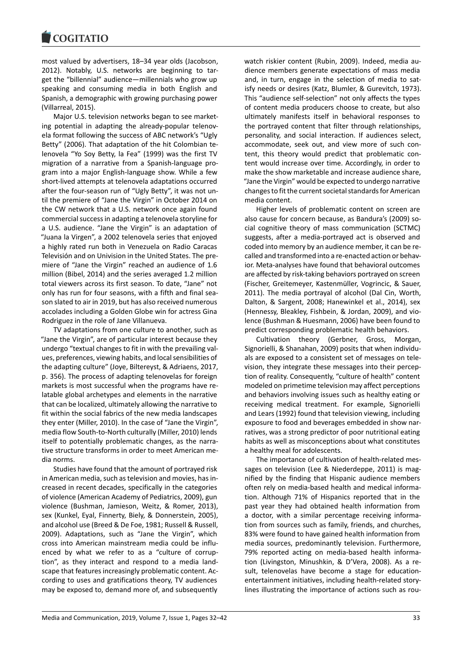most valued by advertisers, 18–34 year olds (Jacobson, 2012). Notably, U.S. networks are beginning to target the "billennial" audience—millennials who grow up speaking and consuming media in both English and Spanish, a demographic with growing purchasing power (Villarreal, 2015).

Major U.S. television networks began to see marketing potential in adapting the already-popular telenovela format following the success of ABC network's "Ugly Betty" (2006). That adaptation of the hit Colombian telenovela "Yo Soy Betty, la Fea" (1999) was the first TV migration of a narrative from a Spanish-language program into a major English-language show. While a few short-lived attempts at telenovela adaptations occurred after the four-season run of "Ugly Betty", it was not until the premiere of "Jane the Virgin" in October 2014 on the CW network that a U.S. network once again found commercial success in adapting a telenovela storyline for a U.S. audience. "Jane the Virgin" is an adaptation of "Juana la Virgen", a 2002 telenovela series that enjoyed a highly rated run both in Venezuela on Radio Caracas Televisión and on Univision in the United States. The premiere of "Jane the Virgin" reached an audience of 1.6 million (Bibel, 2014) and the series averaged 1.2 million total viewers across its first season. To date, "Jane" not only has run for four seasons, with a fifth and final season slated to air in 2019, but has also received numerous accolades including a Golden Globe win for actress Gina Rodriguez in the role of Jane Villanueva.

TV adaptations from one culture to another, such as "Jane the Virgin", are of particular interest because they undergo "textual changes to fit in with the prevailing values, preferences, viewing habits, and local sensibilities of the adapting culture" (Joye, Biltereyst, & Adriaens, 2017, p. 356). The process of adapting telenovelas for foreign markets is most successful when the programs have relatable global archetypes and elements in the narrative that can be localized, ultimately allowing the narrative to fit within the social fabrics of the new media landscapes they enter (Miller, 2010). In the case of "Jane the Virgin", media flow South-to-North culturally (Miller, 2010) lends itself to potentially problematic changes, as the narrative structure transforms in order to meet American media norms.

Studies have found that the amount of portrayed risk in American media, such as television and movies, has increased in recent decades, specifically in the categories of violence (American Academy of Pediatrics, 2009), gun violence (Bushman, Jamieson, Weitz, & Romer, 2013), sex (Kunkel, Eyal, Finnerty, Biely, & Donnerstein, 2005), and alcohol use (Breed & De Foe, 1981; Russell & Russell, 2009). Adaptations, such as "Jane the Virgin", which cross into American mainstream media could be influenced by what we refer to as a "culture of corruption", as they interact and respond to a media landscape that features increasingly problematic content. According to uses and gratifications theory, TV audiences may be exposed to, demand more of, and subsequently watch riskier content (Rubin, 2009). Indeed, media audience members generate expectations of mass media and, in turn, engage in the selection of media to satisfy needs or desires (Katz, Blumler, & Gurevitch, 1973). This "audience self-selection" not only affects the types of content media producers choose to create, but also ultimately manifests itself in behavioral responses to the portrayed content that filter through relationships, personality, and social interaction. If audiences select, accommodate, seek out, and view more of such content, this theory would predict that problematic content would increase over time. Accordingly, in order to make the show marketable and increase audience share, "Jane the Virgin" would be expected to undergo narrative changes to fit the current societal standards for American media content.

Higher levels of problematic content on screen are also cause for concern because, as Bandura's (2009) social cognitive theory of mass communication (SCTMC) suggests, after a media-portrayed act is observed and coded into memory by an audience member, it can be recalled and transformed into a re-enacted action or behavior. Meta-analyses have found that behavioral outcomes are affected by risk-taking behaviors portrayed on screen (Fischer, Greitemeyer, Kastenmüller, Vogrincic, & Sauer, 2011). The media portrayal of alcohol (Dal Cin, Worth, Dalton, & Sargent, 2008; Hanewinkel et al., 2014), sex (Hennessy, Bleakley, Fishbein, & Jordan, 2009), and violence (Bushman & Huesmann, 2006) have been found to predict corresponding problematic health behaviors.

Cultivation theory (Gerbner, Gross, Morgan, Signorielli, & Shanahan, 2009) posits that when individuals are exposed to a consistent set of messages on television, they integrate these messages into their perception of reality. Consequently, "culture of health" content modeled on primetime television may affect perceptions and behaviors involving issues such as healthy eating or receiving medical treatment. For example, Signorielli and Lears (1992) found that television viewing, including exposure to food and beverages embedded in show narratives, was a strong predictor of poor nutritional eating habits as well as misconceptions about what constitutes a healthy meal for adolescents.

The importance of cultivation of health-related messages on television (Lee & Niederdeppe, 2011) is magnified by the finding that Hispanic audience members often rely on media-based health and medical information. Although 71% of Hispanics reported that in the past year they had obtained health information from a doctor, with a similar percentage receiving information from sources such as family, friends, and churches, 83% were found to have gained health information from media sources, predominantly television. Furthermore, 79% reported acting on media-based health information (Livingston, Minushkin, & D'Vera, 2008). As a result, telenovelas have become a stage for educationentertainment initiatives, including health-related storylines illustrating the importance of actions such as rou-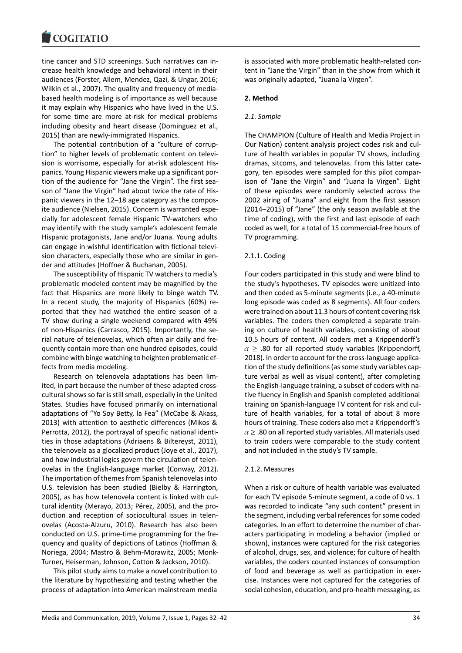#### COQUIATIO

tine cancer and STD screenings. Such narratives can increase health knowledge and behavioral intent in their audiences (Forster, Allem, Mendez, Qazi, & Ungar, 2016; Wilkin et al., 2007). The quality and frequency of mediabased health modeling is of importance as well because it may explain why Hispanics who have lived in the U.S. for some time are more at-risk for medical problems including obesity and heart disease (Dominguez et al., 2015) than are newly-immigrated Hispanics.

The potential contribution of a "culture of corruption" to higher levels of problematic content on television is worrisome, especially for at-risk adolescent Hispanics. Young Hispanic viewers make up a significant portion of the audience for "Jane the Virgin". The first season of "Jane the Virgin" had about twice the rate of Hispanic viewers in the 12–18 age category as the composite audience (Nielsen, 2015). Concern is warranted especially for adolescent female Hispanic TV-watchers who may identify with the study sample's adolescent female Hispanic protagonists, Jane and/or Juana. Young adults can engage in wishful identification with fictional television characters, especially those who are similar in gender and attitudes (Hoffner & Buchanan, 2005).

The susceptibility of Hispanic TV watchers to media's problematic modeled content may be magnified by the fact that Hispanics are more likely to binge watch TV. In a recent study, the majority of Hispanics (60%) reported that they had watched the entire season of a TV show during a single weekend compared with 49% of non-Hispanics (Carrasco, 2015). Importantly, the serial nature of telenovelas, which often air daily and frequently contain more than one hundred episodes, could combine with binge watching to heighten problematic effects from media modeling.

Research on telenovela adaptations has been limited, in part because the number of these adapted crosscultural shows so far is still small, especially in the United States. Studies have focused primarily on international adaptations of "Yo Soy Betty, la Fea" (McCabe & Akass, 2013) with attention to aesthetic differences (Mikos & Perrotta, 2012), the portrayal of specific national identities in those adaptations (Adriaens & Biltereyst, 2011), the telenovela as a glocalized product (Joye et al., 2017), and how industrial logics govern the circulation of telenovelas in the English-language market (Conway, 2012). The importation of themes from Spanish telenovelas into U.S. television has been studied (Bielby & Harrington, 2005), as has how telenovela content is linked with cultural identity (Merayo, 2013; Pérez, 2005), and the production and reception of sociocultural issues in telenovelas (Acosta-Alzuru, 2010). Research has also been conducted on U.S. prime-time programming for the frequency and quality of depictions of Latinos (Hoffman & Noriega, 2004; Mastro & Behm-Morawitz, 2005; Monk-Turner, Heiserman, Johnson, Cotton & Jackson, 2010).

This pilot study aims to make a novel contribution to the literature by hypothesizing and testing whether the process of adaptation into American mainstream media

is associated with more problematic health-related content in "Jane the Virgin" than in the show from which it was originally adapted, "Juana la Virgen".

# **2. Method**

# *2.1. Sample*

The CHAMPION (Culture of Health and Media Project in Our Nation) content analysis project codes risk and culture of health variables in popular TV shows, including dramas, sitcoms, and telenovelas. From this latter category, ten episodes were sampled for this pilot comparison of "Jane the Virgin" and "Juana la Virgen". Eight of these episodes were randomly selected across the 2002 airing of "Juana" and eight from the first season (2014–2015) of "Jane" (the only season available at the time of coding), with the first and last episode of each coded as well, for a total of 15 commercial-free hours of TV programming.

# 2.1.1. Coding

Four coders participated in this study and were blind to the study's hypotheses. TV episodes were unitized into and then coded as 5-minute segments (i.e., a 40-minute long episode was coded as 8 segments). All four coders were trained on about 11.3 hours of content covering risk variables. The coders then completed a separate training on culture of health variables, consisting of about 10.5 hours of content. All coders met a Krippendorff's  $\alpha \geq 0.80$  for all reported study variables (Krippendorff, 2018). In order to account for the cross-language application of the study definitions (as some study variables capture verbal as well as visual content), after completing the English-language training, a subset of coders with native fluency in English and Spanish completed additional training on Spanish-language TV content for risk and culture of health variables, for a total of about 8 more hours of training. These coders also met a Krippendorff's  $\alpha$   $\geq$  .80 on all reported study variables. All materials used to train coders were comparable to the study content and not included in the study's TV sample.

# 2.1.2. Measures

When a risk or culture of health variable was evaluated for each TV episode 5-minute segment, a code of 0 vs. 1 was recorded to indicate "any such content" present in the segment, including verbal references for some coded categories. In an effort to determine the number of characters participating in modeling a behavior (implied or shown), instances were captured for the risk categories of alcohol, drugs, sex, and violence; for culture of health variables, the coders counted instances of consumption of food and beverage as well as participation in exercise. Instances were not captured for the categories of social cohesion, education, and pro-health messaging, as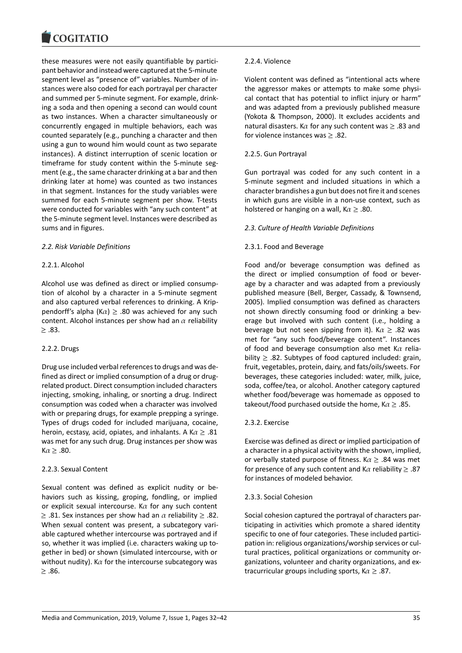these measures were not easily quantifiable by participant behavior and instead were captured at the 5-minute segment level as "presence of" variables. Number of instances were also coded for each portrayal per character and summed per 5-minute segment. For example, drinking a soda and then opening a second can would count as two instances. When a character simultaneously or concurrently engaged in multiple behaviors, each was counted separately (e.g., punching a character and then using a gun to wound him would count as two separate instances). A distinct interruption of scenic location or timeframe for study content within the 5-minute segment (e.g., the same character drinking at a bar and then drinking later at home) was counted as two instances in that segment. Instances for the study variables were summed for each 5-minute segment per show. T-tests were conducted for variables with "any such content" at the 5-minute segment level. Instances were described as sums and in figures.

## *2.2. Risk Variable Definitions*

## 2.2.1. Alcohol

Alcohol use was defined as direct or implied consumption of alcohol by a character in a 5-minute segment and also captured verbal references to drinking. A Krippendorff's alpha (K $\alpha$ )  $\geq$  .80 was achieved for any such content. Alcohol instances per show had an  $\alpha$  reliability  $\geq$  .83.

#### 2.2.2. Drugs

Drug use included verbal references to drugs and was defined as direct or implied consumption of a drug or drugrelated product. Direct consumption included characters injecting, smoking, inhaling, or snorting a drug. Indirect consumption was coded when a character was involved with or preparing drugs, for example prepping a syringe. Types of drugs coded for included marijuana, cocaine, heroin, ecstasy, acid, opiates, and inhalants. A K $\alpha \geq .81$ was met for any such drug. Drug instances per show was  $K \alpha \geq .80$ .

## 2.2.3. Sexual Content

Sexual content was defined as explicit nudity or behaviors such as kissing, groping, fondling, or implied or explicit sexual intercourse. K $\alpha$  for any such content  $≥$  .81. Sex instances per show had an  $\alpha$  reliability  $≥$  .82. When sexual content was present, a subcategory variable captured whether intercourse was portrayed and if so, whether it was implied (i.e. characters waking up together in bed) or shown (simulated intercourse, with or without nudity). K $\alpha$  for the intercourse subcategory was  $≥$ .86.

#### 2.2.4. Violence

Violent content was defined as "intentional acts where the aggressor makes or attempts to make some physical contact that has potential to inflict injury or harm" and was adapted from a previously published measure (Yokota & Thompson, 2000). It excludes accidents and natural disasters. K $\alpha$  for any such content was  $\geq$  .83 and for violence instances was  $\geq$  .82.

## 2.2.5. Gun Portrayal

Gun portrayal was coded for any such content in a 5-minute segment and included situations in which a character brandishes a gun but does not fire it and scenes in which guns are visible in a non-use context, such as holstered or hanging on a wall,  $K \alpha \geq .80$ .

## *2.3. Culture of Health Variable Definitions*

## 2.3.1. Food and Beverage

Food and/or beverage consumption was defined as the direct or implied consumption of food or beverage by a character and was adapted from a previously published measure (Bell, Berger, Cassady, & Townsend, 2005). Implied consumption was defined as characters not shown directly consuming food or drinking a beverage but involved with such content (i.e., holding a beverage but not seen sipping from it).  $K \alpha \geq .82$  was met for "any such food/beverage content". Instances of food and beverage consumption also met K $\alpha$  reliability  $\geq$  .82. Subtypes of food captured included: grain, fruit, vegetables, protein, dairy, and fats/oils/sweets. For beverages, these categories included: water, milk, juice, soda, coffee/tea, or alcohol. Another category captured whether food/beverage was homemade as opposed to takeout/food purchased outside the home,  $K \alpha \geq .85$ .

## 2.3.2. Exercise

Exercise was defined as direct or implied participation of a character in a physical activity with the shown, implied, or verbally stated purpose of fitness. K $\alpha \geq 0.84$  was met for presence of any such content and K $\alpha$  reliability  $\geq$  .87 for instances of modeled behavior.

#### 2.3.3. Social Cohesion

Social cohesion captured the portrayal of characters participating in activities which promote a shared identity specific to one of four categories. These included participation in: religious organizations/worship services or cultural practices, political organizations or community organizations, volunteer and charity organizations, and extracurricular groups including sports,  $K \alpha \geq .87$ .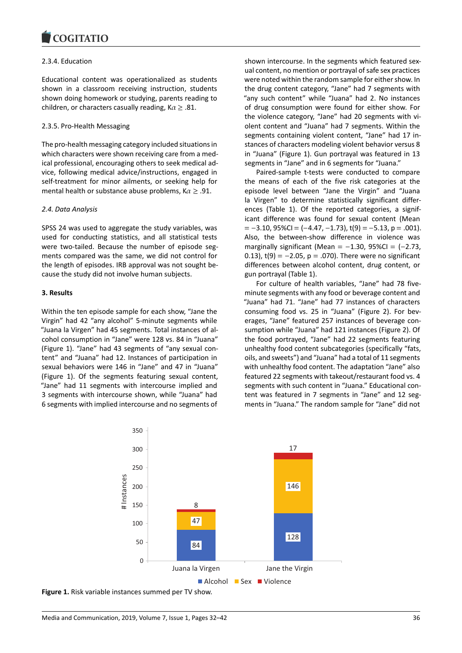## 2.3.4. Education

Educational content was operationalized as students shown in a classroom receiving instruction, students shown doing homework or studying, parents reading to children, or characters casually reading,  $K \alpha \geq .81$ .

# 2.3.5. Pro-Health Messaging

The pro-health messaging category included situations in which characters were shown receiving care from a medical professional, encouraging others to seek medical advice, following medical advice/instructions, engaged in self-treatment for minor ailments, or seeking help for mental health or substance abuse problems,  $K \alpha \geq .91$ .

# *2.4. Data Analysis*

SPSS 24 was used to aggregate the study variables, was used for conducting statistics, and all statistical tests were two-tailed. Because the number of episode segments compared was the same, we did not control for the length of episodes. IRB approval was not sought because the study did not involve human subjects.

# **3. Results**

Within the ten episode sample for each show, "Jane the Virgin" had 42 "any alcohol" 5-minute segments while "Juana la Virgen" had 45 segments. Total instances of alcohol consumption in "Jane" were 128 vs. 84 in "Juana" (Figure 1). "Jane" had 43 segments of "any sexual content" and "Juana" had 12. Instances of participation in sexual behaviors were 146 in "Jane" and 47 in "Juana" (Figure 1). Of the segments featuring sexual content, "Jane" had 11 segments with intercourse implied and 3 segments with intercourse shown, while "Juana" had 6 segments with implied intercourse and no segments of shown intercourse. In the segments which featured sexual content, no mention or portrayal of safe sex practices were noted within the random sample for either show. In the drug content category, "Jane" had 7 segments with "any such content" while "Juana" had 2. No instances of drug consumption were found for either show. For the violence category, "Jane" had 20 segments with violent content and "Juana" had 7 segments. Within the segments containing violent content, "Jane" had 17 instances of characters modeling violent behavior versus 8 in "Juana" (Figure 1). Gun portrayal was featured in 13 segments in "Jane" and in 6 segments for "Juana."

Paired-sample t-tests were conducted to compare the means of each of the five risk categories at the episode level between "Jane the Virgin" and "Juana la Virgen" to determine statistically significant differences (Table 1). Of the reported categories, a significant difference was found for sexual content (Mean  $= -3.10, 95\%$ CI = (-4.47, -1.73), t(9) = -5.13, p = .001). Also, the between-show difference in violence was marginally significant (Mean =  $-1.30$ , 95%Cl =  $(-2.73)$ , 0.13),  $t(9) = -2.05$ ,  $p = .070$ ). There were no significant differences between alcohol content, drug content, or gun portrayal (Table 1).

For culture of health variables, "Jane" had 78 fiveminute segments with any food or beverage content and "Juana" had 71. "Jane" had 77 instances of characters consuming food vs. 25 in "Juana" (Figure 2). For beverages, "Jane" featured 257 instances of beverage consumption while "Juana" had 121 instances (Figure 2). Of the food portrayed, "Jane" had 22 segments featuring unhealthy food content subcategories (specifically "fats, oils, and sweets") and "Juana" had a total of 11 segments with unhealthy food content. The adaptation "Jane" also featured 22 segments with takeout/restaurant food vs. 4 segments with such content in "Juana." Educational content was featured in 7 segments in "Jane" and 12 segments in "Juana." The random sample for "Jane" did not



**Figure 1.** Risk variable instances summed per TV show.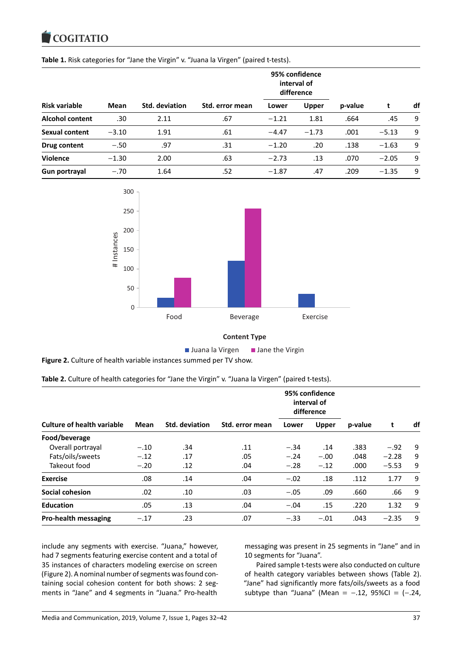#### **COUTATIO**

| Risk variable          |         | <b>Std. deviation</b> | Std. error mean | 95% confidence<br>interval of<br>difference |              |         |         |    |
|------------------------|---------|-----------------------|-----------------|---------------------------------------------|--------------|---------|---------|----|
|                        | Mean    |                       |                 | Lower                                       | <b>Upper</b> | p-value | t       | df |
| <b>Alcohol content</b> | .30     | 2.11                  | .67             | $-1.21$                                     | 1.81         | .664    | .45     | 9  |
| Sexual content         | $-3.10$ | 1.91                  | .61             | $-4.47$                                     | $-1.73$      | .001    | $-5.13$ | 9  |
| Drug content           | $-.50$  | .97                   | .31             | $-1.20$                                     | .20          | .138    | $-1.63$ | 9  |
| <b>Violence</b>        | $-1.30$ | 2.00                  | .63             | $-2.73$                                     | .13          | .070    | $-2.05$ | 9  |
| Gun portrayal          | $-.70$  | 1.64                  | .52             | $-1.87$                                     | .47          | .209    | $-1.35$ | 9  |



## **Content Type**

 $\blacksquare$  Juana la Virgen  $\blacksquare$  Jane the Virgin

**Figure 2.** Culture of health variable instances summed per TV show.

| Table 2. Culture of health categories for "Jane the Virgin" v. "Juana la Virgen" (paired t-tests). |  |  |  |
|----------------------------------------------------------------------------------------------------|--|--|--|
|----------------------------------------------------------------------------------------------------|--|--|--|

|                                   | Mean   | Std. deviation | Std. error mean | 95% confidence<br>interval of<br>difference |              |         |         |    |
|-----------------------------------|--------|----------------|-----------------|---------------------------------------------|--------------|---------|---------|----|
| <b>Culture of health variable</b> |        |                |                 | Lower                                       | <b>Upper</b> | p-value |         | df |
| Food/beverage                     |        |                |                 |                                             |              |         |         |    |
| Overall portrayal                 | $-.10$ | .34            | .11             | $-.34$                                      | .14          | .383    | $-.92$  | 9  |
| Fats/oils/sweets                  | $-.12$ | .17            | .05             | $-.24$                                      | $-.00$       | .048    | $-2.28$ | 9  |
| Takeout food                      | $-.20$ | .12            | .04             | $-.28$                                      | $-.12$       | .000    | $-5.53$ | 9  |
| <b>Exercise</b>                   | .08    | .14            | .04             | $-.02$                                      | .18          | .112    | 1.77    | 9  |
| Social cohesion                   | .02    | .10            | .03             | $-.05$                                      | .09          | .660    | .66     | 9  |
| <b>Education</b>                  | .05    | .13            | .04             | $-.04$                                      | .15          | .220    | 1.32    | 9  |
| <b>Pro-health messaging</b>       | $-.17$ | .23            | .07             | $-.33$                                      | $-.01$       | .043    | $-2.35$ | 9  |

include any segments with exercise. "Juana," however, had 7 segments featuring exercise content and a total of 35 instances of characters modeling exercise on screen (Figure 2). A nominal number of segments was found containing social cohesion content for both shows: 2 segments in "Jane" and 4 segments in "Juana." Pro-health messaging was present in 25 segments in "Jane" and in 10 segments for "Juana".

Paired sample t-tests were also conducted on culture of health category variables between shows (Table 2). "Jane" had significantly more fats/oils/sweets as a food subtype than "Juana" (Mean =  $-.12$ , 95%CI =  $(-.24)$ ,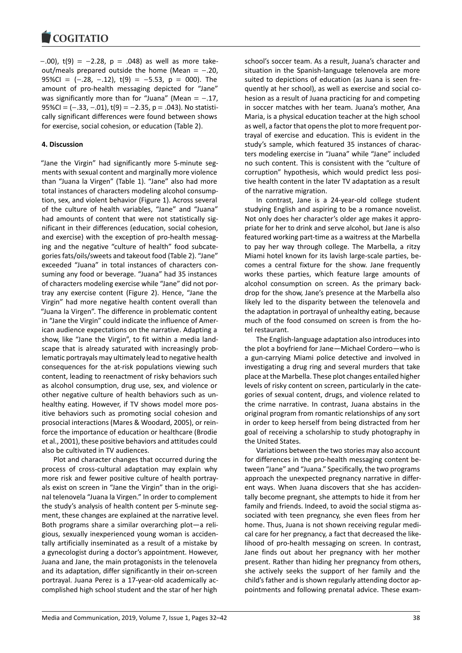$-0.00$ , t(9) =  $-2.28$ , p =  $0.048$ ) as well as more takeout/meals prepared outside the home (Mean =  $-.20$ , 95%CI =  $(-.28, -.12)$ , t(9) = -5.53, p = 000). The amount of pro-health messaging depicted for "Jane" was significantly more than for "Juana" (Mean =  $-.17$ , 95%CI = (−.33, −.01), t(9) = −2.35, p = .043). No statistically significant differences were found between shows for exercise, social cohesion, or education (Table 2).

# **4. Discussion**

"Jane the Virgin" had significantly more 5-minute segments with sexual content and marginally more violence than "Juana la Virgen" (Table 1). "Jane" also had more total instances of characters modeling alcohol consumption, sex, and violent behavior (Figure 1). Across several of the culture of health variables, "Jane" and "Juana" had amounts of content that were not statistically significant in their differences (education, social cohesion, and exercise) with the exception of pro-health messaging and the negative "culture of health" food subcategories fats/oils/sweets and takeout food (Table 2). "Jane" exceeded "Juana" in total instances of characters consuming any food or beverage. "Juana" had 35 instances of characters modeling exercise while "Jane" did not portray any exercise content (Figure 2). Hence, "Jane the Virgin" had more negative health content overall than "Juana la Virgen". The difference in problematic content in "Jane the Virgin" could indicate the influence of American audience expectations on the narrative. Adapting a show, like "Jane the Virgin", to fit within a media landscape that is already saturated with increasingly problematic portrayals may ultimately lead to negative health consequences for the at-risk populations viewing such content, leading to reenactment of risky behaviors such as alcohol consumption, drug use, sex, and violence or other negative culture of health behaviors such as unhealthy eating. However, if TV shows model more positive behaviors such as promoting social cohesion and prosocial interactions (Mares & Woodard, 2005), or reinforce the importance of education or healthcare (Brodie et al., 2001), these positive behaviors and attitudes could also be cultivated in TV audiences.

Plot and character changes that occurred during the process of cross-cultural adaptation may explain why more risk and fewer positive culture of health portrayals exist on screen in "Jane the Virgin" than in the original telenovela "Juana la Virgen." In order to complement the study's analysis of health content per 5-minute segment, these changes are explained at the narrative level. Both programs share a similar overarching plot—a religious, sexually inexperienced young woman is accidentally artificially inseminated as a result of a mistake by a gynecologist during a doctor's appointment. However, Juana and Jane, the main protagonists in the telenovela and its adaptation, differ significantly in their on-screen portrayal. Juana Perez is a 17-year-old academically accomplished high school student and the star of her high school's soccer team. As a result, Juana's character and situation in the Spanish-language telenovela are more suited to depictions of education (as Juana is seen frequently at her school), as well as exercise and social cohesion as a result of Juana practicing for and competing in soccer matches with her team. Juana's mother, Ana Maria, is a physical education teacher at the high school as well, a factor that opens the plot to more frequent portrayal of exercise and education. This is evident in the study's sample, which featured 35 instances of characters modeling exercise in "Juana" while "Jane" included no such content. This is consistent with the "culture of corruption" hypothesis, which would predict less positive health content in the later TV adaptation as a result of the narrative migration.

In contrast, Jane is a 24-year-old college student studying English and aspiring to be a romance novelist. Not only does her character's older age makes it appropriate for her to drink and serve alcohol, but Jane is also featured working part-time as a waitress at the Marbella to pay her way through college. The Marbella, a ritzy Miami hotel known for its lavish large-scale parties, becomes a central fixture for the show. Jane frequently works these parties, which feature large amounts of alcohol consumption on screen. As the primary backdrop for the show, Jane's presence at the Marbella also likely led to the disparity between the telenovela and the adaptation in portrayal of unhealthy eating, because much of the food consumed on screen is from the hotel restaurant.

The English-language adaptation also introduces into the plot a boyfriend for Jane—Michael Cordero—who is a gun-carrying Miami police detective and involved in investigating a drug ring and several murders that take place at the Marbella. These plot changes entailed higher levels of risky content on screen, particularly in the categories of sexual content, drugs, and violence related to the crime narrative. In contrast, Juana abstains in the original program from romantic relationships of any sort in order to keep herself from being distracted from her goal of receiving a scholarship to study photography in the United States.

Variations between the two stories may also account for differences in the pro-health messaging content between "Jane" and "Juana." Specifically, the two programs approach the unexpected pregnancy narrative in different ways. When Juana discovers that she has accidentally become pregnant, she attempts to hide it from her family and friends. Indeed, to avoid the social stigma associated with teen pregnancy, she even flees from her home. Thus, Juana is not shown receiving regular medical care for her pregnancy, a fact that decreased the likelihood of pro-health messaging on screen. In contrast, Jane finds out about her pregnancy with her mother present. Rather than hiding her pregnancy from others, she actively seeks the support of her family and the child's father and is shown regularly attending doctor appointments and following prenatal advice. These exam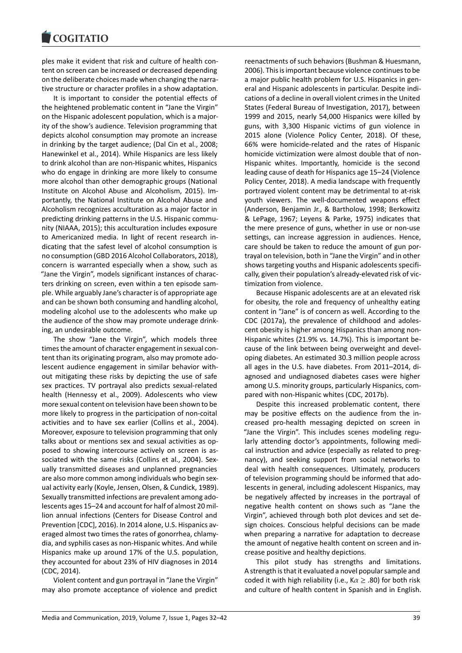ples make it evident that risk and culture of health content on screen can be increased or decreased depending on the deliberate choices made when changing the narrative structure or character profiles in a show adaptation.

It is important to consider the potential effects of the heightened problematic content in "Jane the Virgin" on the Hispanic adolescent population, which is a majority of the show's audience. Television programming that depicts alcohol consumption may promote an increase in drinking by the target audience; (Dal Cin et al., 2008; Hanewinkel et al., 2014). While Hispanics are less likely to drink alcohol than are non-Hispanic whites, Hispanics who do engage in drinking are more likely to consume more alcohol than other demographic groups (National Institute on Alcohol Abuse and Alcoholism, 2015). Importantly, the National Institute on Alcohol Abuse and Alcoholism recognizes acculturation as a major factor in predicting drinking patterns in the U.S. Hispanic community (NIAAA, 2015); this acculturation includes exposure to Americanized media. In light of recent research indicating that the safest level of alcohol consumption is no consumption (GBD 2016 Alcohol Collaborators, 2018), concern is warranted especially when a show, such as "Jane the Virgin", models significant instances of characters drinking on screen, even within a ten episode sample. While arguably Jane's character is of appropriate age and can be shown both consuming and handling alcohol, modeling alcohol use to the adolescents who make up the audience of the show may promote underage drinking, an undesirable outcome.

The show "Jane the Virgin", which models three times the amount of character engagement in sexual content than its originating program, also may promote adolescent audience engagement in similar behavior without mitigating these risks by depicting the use of safe sex practices. TV portrayal also predicts sexual-related health (Hennessy et al., 2009). Adolescents who view more sexual content on television have been shown to be more likely to progress in the participation of non-coital activities and to have sex earlier (Collins et al., 2004). Moreover, exposure to television programming that only talks about or mentions sex and sexual activities as opposed to showing intercourse actively on screen is associated with the same risks (Collins et al., 2004). Sexually transmitted diseases and unplanned pregnancies are also more common among individuals who begin sexual activity early (Koyle, Jensen, Olsen, & Cundick, 1989). Sexually transmitted infections are prevalent among adolescents ages 15–24 and account for half of almost 20 million annual infections (Centers for Disease Control and Prevention [CDC], 2016). In 2014 alone, U.S. Hispanics averaged almost two times the rates of gonorrhea, chlamydia, and syphilis cases as non-Hispanic whites. And while Hispanics make up around 17% of the U.S. population, they accounted for about 23% of HIV diagnoses in 2014 (CDC, 2014).

Violent content and gun portrayal in "Jane the Virgin" may also promote acceptance of violence and predict reenactments of such behaviors (Bushman & Huesmann, 2006). This is important because violence continues to be a major public health problem for U.S. Hispanics in general and Hispanic adolescents in particular. Despite indications of a decline in overall violent crimes in the United States (Federal Bureau of Investigation, 2017), between 1999 and 2015, nearly 54,000 Hispanics were killed by guns, with 3,300 Hispanic victims of gun violence in 2015 alone (Violence Policy Center, 2018). Of these, 66% were homicide-related and the rates of Hispanic homicide victimization were almost double that of non-Hispanic whites. Importantly, homicide is the second leading cause of death for Hispanics age 15–24 (Violence Policy Center, 2018). A media landscape with frequently portrayed violent content may be detrimental to at-risk youth viewers. The well-documented weapons effect (Anderson, Benjamin Jr., & Bartholow, 1998; Berkowitz & LePage, 1967; Leyens & Parke, 1975) indicates that the mere presence of guns, whether in use or non-use settings, can increase aggression in audiences. Hence, care should be taken to reduce the amount of gun portrayal on television, both in "Jane the Virgin" and in other shows targeting youths and Hispanic adolescents specifically, given their population's already-elevated risk of victimization from violence.

Because Hispanic adolescents are at an elevated risk for obesity, the role and frequency of unhealthy eating content in "Jane" is of concern as well. According to the CDC (2017a), the prevalence of childhood and adolescent obesity is higher among Hispanics than among non-Hispanic whites (21.9% vs. 14.7%). This is important because of the link between being overweight and developing diabetes. An estimated 30.3 million people across all ages in the U.S. have diabetes. From 2011–2014, diagnosed and undiagnosed diabetes cases were higher among U.S. minority groups, particularly Hispanics, compared with non-Hispanic whites (CDC, 2017b).

Despite this increased problematic content, there may be positive effects on the audience from the increased pro-health messaging depicted on screen in "Jane the Virgin". This includes scenes modeling regularly attending doctor's appointments, following medical instruction and advice (especially as related to pregnancy), and seeking support from social networks to deal with health consequences. Ultimately, producers of television programming should be informed that adolescents in general, including adolescent Hispanics, may be negatively affected by increases in the portrayal of negative health content on shows such as "Jane the Virgin", achieved through both plot devices and set design choices. Conscious helpful decisions can be made when preparing a narrative for adaptation to decrease the amount of negative health content on screen and increase positive and healthy depictions.

This pilot study has strengths and limitations. A strength is that it evaluated a novel popular sample and coded it with high reliability (i.e.,  $K \alpha \geq .80$ ) for both risk and culture of health content in Spanish and in English.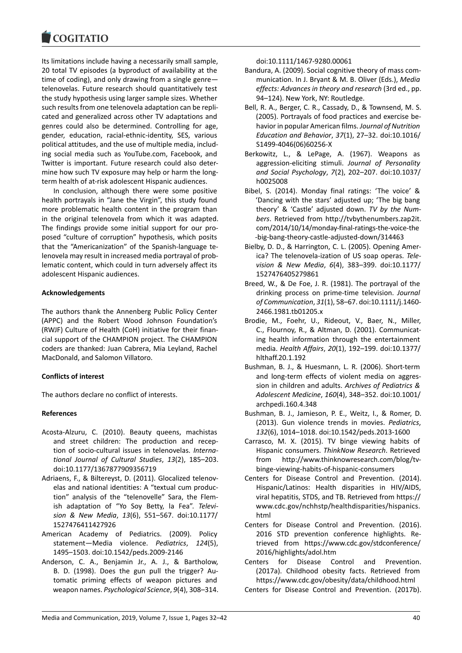#### COQUIATIO

Its limitations include having a necessarily small sample, 20 total TV episodes (a byproduct of availability at the time of coding), and only drawing from a single genre telenovelas. Future research should quantitatively test the study hypothesis using larger sample sizes. Whether such results from one telenovela adaptation can be replicated and generalized across other TV adaptations and genres could also be determined. Controlling for age, gender, education, racial-ethnic-identity, SES, various political attitudes, and the use of multiple media, including social media such as YouTube.com, Facebook, and Twitter is important. Future research could also determine how such TV exposure may help or harm the longterm health of at-risk adolescent Hispanic audiences.

In conclusion, although there were some positive health portrayals in "Jane the Virgin", this study found more problematic health content in the program than in the original telenovela from which it was adapted. The findings provide some initial support for our proposed "culture of corruption" hypothesis, which posits that the "Americanization" of the Spanish-language telenovela may result in increased media portrayal of problematic content, which could in turn adversely affect its adolescent Hispanic audiences.

# **Acknowledgements**

The authors thank the Annenberg Public Policy Center (APPC) and the Robert Wood Johnson Foundation's (RWJF) Culture of Health (CoH) initiative for their financial support of the CHAMPION project. The CHAMPION coders are thanked: Juan Cabrera, Mia Leyland, Rachel MacDonald, and Salomon Villatoro.

# **Conflicts of interest**

The authors declare no conflict of interests.

# **References**

- Acosta-Alzuru, C. (2010). Beauty queens, machistas and street children: The production and reception of socio-cultural issues in telenovelas. *International Journal of Cultural Studies*, *13*(2), 185–203. doi:10.1177/1367877909356719
- Adriaens, F., & Biltereyst, D. (2011). Glocalized telenovelas and national identities: A "textual cum production" analysis of the "telenovelle" Sara, the Flemish adaptation of "Yo Soy Betty, la Fea". *Television & New Media*, *13*(6), 551–567. doi:10.1177/ 1527476411427926
- American Academy of Pediatrics. (2009). Policy statement—Media violence. *Pediatrics*, *124*(5), 1495–1503. doi:10.1542/peds.2009-2146
- Anderson, C. A., Benjamin Jr., A. J., & Bartholow, B. D. (1998). Does the gun pull the trigger? Automatic priming effects of weapon pictures and weapon names. *Psychological Science*, *9*(4), 308–314.

doi:10.1111/1467-9280.00061

- Bandura, A. (2009). Social cognitive theory of mass communication. In J. Bryant & M. B. Oliver (Eds.), *Media effects: Advances in theory and research* (3rd ed., pp. 94–124). New York, NY: Routledge.
- Bell, R. A., Berger, C. R., Cassady, D., & Townsend, M. S. (2005). Portrayals of food practices and exercise behavior in popular American films. *Journal of Nutrition Education and Behavior*, *37*(1), 27–32. doi:10.1016/ S1499-4046(06)60256-X
- Berkowitz, L., & LePage, A. (1967). Weapons as aggression-eliciting stimuli. *Journal of Personality and Social Psychology*, *7*(2), 202–207. doi:10.1037/ h0025008
- Bibel, S. (2014). Monday final ratings: 'The voice' & 'Dancing with the stars' adjusted up; 'The big bang theory' & 'Castle' adjusted down. *TV by the Numbers*. Retrieved from http://tvbythenumbers.zap2it. com/2014/10/14/monday-final-ratings-the-voice-the -big-bang-theory-castle-adjusted-down/314463
- Bielby, D. D., & Harrington, C. L. (2005). Opening America? The telenovela-ization of US soap operas. *Television & New Media*, *6*(4), 383–399. doi:10.1177/ 1527476405279861
- Breed, W., & De Foe, J. R. (1981). The portrayal of the drinking process on prime-time television. *Journal of Communication*, *31*(1), 58–67. doi:10.1111/j.1460- 2466.1981.tb01205.x
- Brodie, M., Foehr, U., Rideout, V., Baer, N., Miller, C., Flournoy, R., & Altman, D. (2001). Communicating health information through the entertainment media. *Health Affairs*, *20*(1), 192–199. doi:10.1377/ hlthaff.20.1.192
- Bushman, B. J., & Huesmann, L. R. (2006). Short-term and long-term effects of violent media on aggression in children and adults. *Archives of Pediatrics & Adolescent Medicine*, *160*(4), 348–352. doi:10.1001/ archpedi.160.4.348
- Bushman, B. J., Jamieson, P. E., Weitz, I., & Romer, D. (2013). Gun violence trends in movies. *Pediatrics*, *132*(6), 1014–1018. doi:10.1542/peds.2013-1600
- Carrasco, M. X. (2015). TV binge viewing habits of Hispanic consumers. *ThinkNow Research*. Retrieved from http://www.thinknowresearch.com/blog/tvbinge-viewing-habits-of-hispanic-consumers
- Centers for Disease Control and Prevention. (2014). Hispanic/Latinos: Health disparities in HIV/AIDS, viral hepatitis, STDS, and TB. Retrieved from https:// www.cdc.gov/nchhstp/healthdisparities/hispanics. html
- Centers for Disease Control and Prevention. (2016). 2016 STD prevention conference highlights. Retrieved from https://www.cdc.gov/stdconference/ 2016/highlights/adol.htm
- Centers for Disease Control and Prevention. (2017a). Childhood obesity facts. Retrieved from https://www.cdc.gov/obesity/data/childhood.html

Centers for Disease Control and Prevention. (2017b).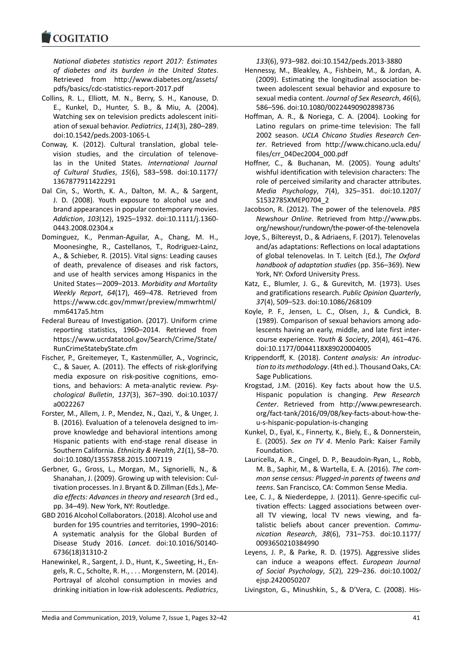*National diabetes statistics report 2017: Estimates of diabetes and its burden in the United States*. Retrieved from http://www.diabetes.org/assets/ pdfs/basics/cdc-statistics-report-2017.pdf

- Collins, R. L., Elliott, M. N., Berry, S. H., Kanouse, D. E., Kunkel, D., Hunter, S. B., & Miu, A. (2004). Watching sex on television predicts adolescent initiation of sexual behavior. *Pediatrics*, *114*(3), 280–289. doi:10.1542/peds.2003-1065-L
- Conway, K. (2012). Cultural translation, global television studies, and the circulation of telenovelas in the United States. *International Journal of Cultural Studies*, *15*(6), 583–598. doi:10.1177/ 1367877911422291
- Dal Cin, S., Worth, K. A., Dalton, M. A., & Sargent, J. D. (2008). Youth exposure to alcohol use and brand appearances in popular contemporary movies. *Addiction*, *103*(12), 1925–1932. doi:10.1111/j.1360- 0443.2008.02304.x
- Dominguez, K., Penman-Aguilar, A., Chang, M. H., Moonesinghe, R., Castellanos, T., Rodriguez-Lainz, A., & Schieber, R. (2015). Vital signs: Leading causes of death, prevalence of diseases and risk factors, and use of health services among Hispanics in the United States—2009–2013. *Morbidity and Mortality Weekly Report*, *64*(17), 469–478. Retrieved from https://www.cdc.gov/mmwr/preview/mmwrhtml/ mm6417a5.htm
- Federal Bureau of Investigation. (2017). Uniform crime reporting statistics, 1960–2014. Retrieved from https://www.ucrdatatool.gov/Search/Crime/State/ RunCrimeStatebyState.cfm
- Fischer, P., Greitemeyer, T., Kastenmüller, A., Vogrincic, C., & Sauer, A. (2011). The effects of risk-glorifying media exposure on risk-positive cognitions, emotions, and behaviors: A meta-analytic review. *Psychological Bulletin*, *137*(3), 367–390. doi:10.1037/ a0022267
- Forster, M., Allem, J. P., Mendez, N., Qazi, Y., & Unger, J. B. (2016). Evaluation of a telenovela designed to improve knowledge and behavioral intentions among Hispanic patients with end-stage renal disease in Southern California. *Ethnicity & Health*, *21*(1), 58–70. doi:10.1080/13557858.2015.1007119
- Gerbner, G., Gross, L., Morgan, M., Signorielli, N., & Shanahan, J. (2009). Growing up with television: Cultivation processes. In J. Bryant & D. Zillman (Eds.), *Media effects: Advances in theory and research* (3rd ed., pp. 34–49). New York, NY: Routledge.
- GBD 2016 Alcohol Collaborators. (2018). Alcohol use and burden for 195 countries and territories, 1990–2016: A systematic analysis for the Global Burden of Disease Study 2016. *Lancet*. doi:10.1016/S0140- 6736(18)31310-2
- Hanewinkel, R., Sargent, J. D., Hunt, K., Sweeting, H., Engels, R. C., Scholte, R. H., . . . Morgenstern, M. (2014). Portrayal of alcohol consumption in movies and drinking initiation in low-risk adolescents. *Pediatrics*,

*133*(6), 973–982. doi:10.1542/peds.2013-3880

- Hennessy, M., Bleakley, A., Fishbein, M., & Jordan, A. (2009). Estimating the longitudinal association between adolescent sexual behavior and exposure to sexual media content. *Journal of Sex Research*, *46*(6), 586–596. doi:10.1080/00224490902898736
- Hoffman, A. R., & Noriega, C. A. (2004). Looking for Latino regulars on prime-time television: The fall 2002 season. *UCLA Chicano Studies Research Center*. Retrieved from http://www.chicano.ucla.edu/ files/crr\_04Dec2004\_000.pdf
- Hoffner, C., & Buchanan, M. (2005). Young adults' wishful identification with television characters: The role of perceived similarity and character attributes. *Media Psychology*, *7*(4), 325–351. doi:10.1207/ S1532785XMEP0704\_2
- Jacobson, R. (2012). The power of the telenovela. *PBS Newshour Online*. Retrieved from http://www.pbs. org/newshour/rundown/the-power-of-the-telenovela
- Joye, S., Biltereyst, D., & Adriaens, F. (2017). Telenovelas and/as adaptations: Reflections on local adaptations of global telenovelas. In T. Leitch (Ed.), *The Oxford handbook of adaptation studies* (pp. 356–369). New York, NY: Oxford University Press.
- Katz, E., Blumler, J. G., & Gurevitch, M. (1973). Uses and gratifications research. *Public Opinion Quarterly*, *37*(4), 509–523. doi:10.1086/268109
- Koyle, P. F., Jensen, L. C., Olsen, J., & Cundick, B. (1989). Comparison of sexual behaviors among adolescents having an early, middle, and late first intercourse experience. *Youth & Society*, *20*(4), 461–476. doi:10.1177/0044118X89020004005
- Krippendorff, K. (2018). *Content analysis: An introduction to its methodology*. (4th ed.). Thousand Oaks, CA: Sage Publications.
- Krogstad, J.M. (2016). Key facts about how the U.S. Hispanic population is changing. *Pew Research Center*. Retrieved from http://www.pewresearch. org/fact-tank/2016/09/08/key-facts-about-how-theu-s-hispanic-population-is-changing
- Kunkel, D., Eyal, K., Finnerty, K., Biely, E., & Donnerstein, E. (2005). *Sex on TV 4*. Menlo Park: Kaiser Family Foundation.
- Lauricella, A. R., Cingel, D. P., Beaudoin-Ryan, L., Robb, M. B., Saphir, M., & Wartella, E. A. (2016). *The common sense census: Plugged-in parents of tweens and teens*. San Francisco, CA: Common Sense Media.
- Lee, C. J., & Niederdeppe, J. (2011). Genre-specific cultivation effects: Lagged associations between overall TV viewing, local TV news viewing, and fatalistic beliefs about cancer prevention. *Communication Research*, *38*(6), 731–753. doi:10.1177/ 0093650210384990
- Leyens, J. P., & Parke, R. D. (1975). Aggressive slides can induce a weapons effect. *European Journal of Social Psychology*, *5*(2), 229–236. doi:10.1002/ ejsp.2420050207
- Livingston, G., Minushkin, S., & D'Vera, C. (2008). His-